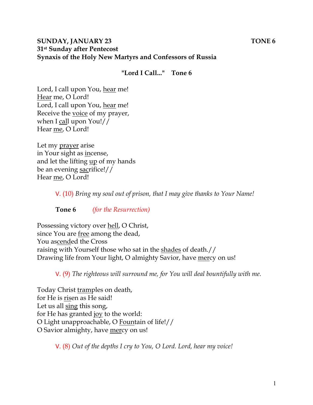## **SUNDAY, JANUARY 23** TONE 6 **31st Sunday after Pentecost Synaxis of the Holy New Martyrs and Confessors of Russia**

### **"Lord I Call..." Tone 6**

Lord, I call upon You, hear me! Hear me, O Lord! Lord, I call upon You, hear me! Receive the voice of my prayer, when I call upon You!// Hear me, O Lord!

Let my prayer arise in Your sight as incense, and let the lifting up of my hands be an evening sacrifice!// Hear me, O Lord!

V. (10) *Bring my soul out of prison, that I may give thanks to Your Name!* 

**Tone 6** *(for the Resurrection)* 

Possessing victory over hell, O Christ, since You are free among the dead, You ascended the Cross raising with Yourself those who sat in the shades of death.// Drawing life from Your light, O almighty Savior, have mercy on us!

V. (9) *The righteous will surround me, for You will deal bountifully with me.* 

Today Christ tramples on death, for He is risen as He said! Let us all sing this song, for He has granted joy to the world: O Light unapproachable, O Fountain of life!// O Savior almighty, have mercy on us!

V. (8) *Out of the depths I cry to You, O Lord. Lord, hear my voice!*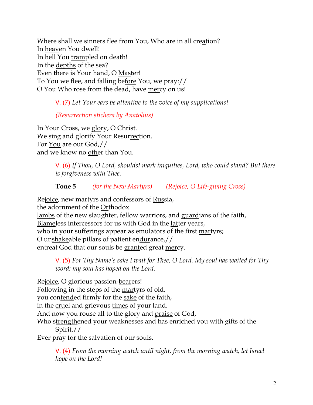Where shall we sinners flee from You, Who are in all creation? In heaven You dwell! In hell You trampled on death! In the depths of the sea? Even there is Your hand, O Master! To You we flee, and falling before You, we pray:// O You Who rose from the dead, have mercy on us!

V. (7) *Let Your ears be attentive to the voice of my supplications!*

*(Resurrection stichera by Anatolius)*

In Your Cross, we glory, O Christ. We sing and glorify Your Resurrection. For You are our God,// and we know no other than You.

> V. (6) *If Thou, O Lord, shouldst mark iniquities, Lord, who could stand? But there is forgiveness with Thee.*

**Tone 5** *(for the New Martyrs) (Rejoice, O Life-giving Cross)*

Rejoice, new martyrs and confessors of Russia, the adornment of the Orthodox. lambs of the new slaughter, fellow warriors, and guardians of the faith, Blameless intercessors for us with God in the latter years, who in your sufferings appear as emulators of the first martyrs; O unshakeable pillars of patient endurance,// entreat God that our souls be granted great mercy.

V. (5) *For Thy Name's sake I wait for Thee, O Lord. My soul has waited for Thy word; my soul has hoped on the Lord.* 

Rejoice, O glorious passion-bearers! Following in the steps of the martyrs of old, you contended firmly for the sake of the faith, in the cruel and grievous times of your land. And now you rouse all to the glory and praise of God, Who strengthened your weaknesses and has enriched you with gifts of the Spirit.// Ever pray for the salvation of our souls.

V. (4) *From the morning watch until night, from the morning watch, let Israel hope on the Lord!*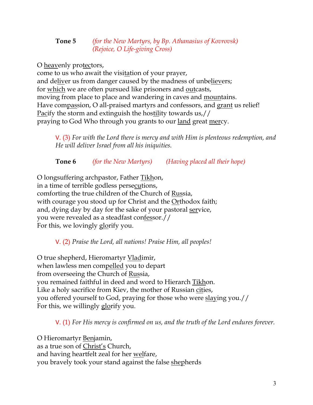## **Tone 5** *(for the New Martyrs, by Bp. Athanasius of Kovrovsk) (Rejoice, O Life-giving Cross)*

O heavenly protectors,

come to us who await the visitation of your prayer, and deliver us from danger caused by the madness of unbelievers; for which we are often pursued like prisoners and outcasts, moving from place to place and wandering in caves and <u>mountains</u>. Have compassion, O all-praised martyrs and confessors, and grant us relief! Pacify the storm and extinguish the hostility towards us,// praying to God Who through you grants to our <u>land</u> great <u>mer</u>cy.

V. (3) *For with the Lord there is mercy and with Him is plenteous redemption, and He will deliver Israel from all his iniquities.*

**Tone 6** *(for the New Martyrs) (Having placed all their hope)*

O longsuffering archpastor, Father Tikhon, in a time of terrible godless persecutions, comforting the true children of the Church of Russia, with courage you stood up for Christ and the Orthodox faith; and, dying day by day for the sake of your pastoral service, you were revealed as a steadfast confessor.// For this, we lovingly glorify you.

V. (2) *Praise the Lord, all nations! Praise Him, all peoples!*

O true shepherd, Hieromartyr Vladimir, when lawless men compelled you to depart from overseeing the Church of Russia, you remained faithful in deed and word to Hierarch Tikhon. Like a holy sacrifice from Kiev, the mother of Russian cities, you offered yourself to God, praying for those who were slaying you.// For this, we willingly glorify you.

V. (1) *For His mercy is confirmed on us, and the truth of the Lord endures forever.* 

O Hieromartyr Benjamin, as a true son of Christ's Church, and having heartfelt zeal for her welfare, you bravely took your stand against the false shepherds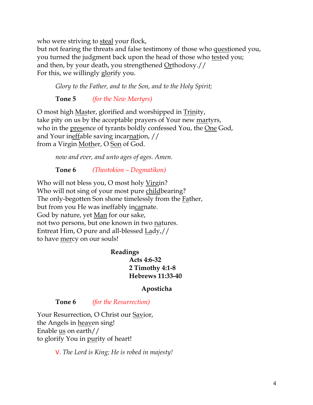who were striving to steal your flock,

but not fearing the threats and false testimony of those who questioned you, you turned the judgment back upon the head of those who tested you; and then, by your death, you strengthened  $Q$ rthodoxy.// For this, we willingly glorify you.

*Glory to the Father, and to the Son, and to the Holy Spirit;*

**Tone 5** *(for the New Martyrs)*

O most high Master, glorified and worshipped in Trinity, take pity on us by the acceptable prayers of Your new martyrs, who in the presence of tyrants boldly confessed You, the One God, and Your ineffable saving incarnation, // from a Virgin Mother, O Son of God.

*now and ever, and unto ages of ages. Amen.* 

**Tone 6** *(Theotokion – Dogmatikon)*

Who will not bless you, O most holy Virgin? Who will not sing of your most pure childbearing? The only-begotten Son shone timelessly from the <u>Fa</u>ther, but from you He was ineffably incarnate. God by nature, yet Man for our sake, not two persons, but one known in two natures. Entreat Him, O pure and all-blessed Lady,// to have mercy on our souls!

> **Readings Acts 4:6-32 2 Timothy 4:1-8 Hebrews 11:33-40**

### **Aposticha**

**Tone 6** *(for the Resurrection)*

Your Resurrection, O Christ our Savior, the Angels in heaven sing! Enable **us** on earth// to glorify You in purity of heart!

V. *The Lord is King; He is robed in majesty!*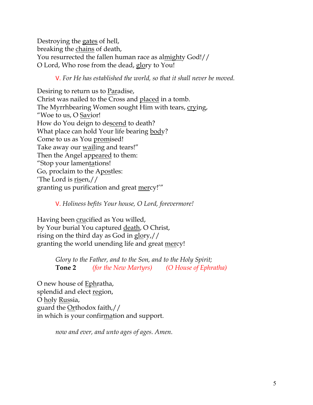Destroying the gates of hell, breaking the chains of death, You resurrected the fallen human race as almighty God!// O Lord, Who rose from the dead, glory to You!

### V. *For He has established the world, so that it shall never be moved.*

Desiring to return us to Paradise, Christ was nailed to the Cross and placed in a tomb. The Myrrhbearing Women sought Him with tears, crying, "Woe to us, O Savior! How do You deign to descend to death? What place can hold Your life bearing body? Come to us as You promised! Take away our wailing and tears!" Then the Angel appeared to them: "Stop your lamentations! Go, proclaim to the Apostles: The Lord is  $\frac{risen}{l}$ granting us purification and great mercy!'"

### V. *Holiness befits Your house, O Lord, forevermore!*

Having been crucified as You willed, by Your burial You captured death, O Christ, rising on the third day as God in  $glory$ ,// granting the world unending life and great mercy!

> *Glory to the Father, and to the Son, and to the Holy Spirit;* **Tone 2** *(for the New Martyrs) (O House of Ephratha)*

O new house of Ephratha, splendid and elect region, O holy Russia, guard the Orthodox faith,// in which is your confirmation and support.

*now and ever, and unto ages of ages. Amen.*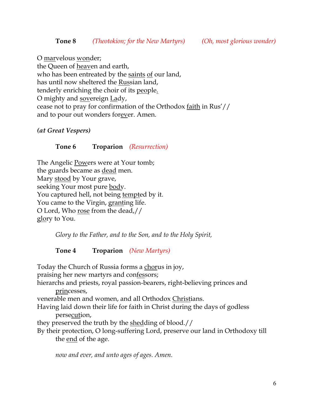O marvelous wonder;

the Queen of heaven and earth, who has been entreated by the saints of our land, has until now sheltered the Russian land, tenderly enriching the choir of its people. O mighty and sovereign Lady, cease not to pray for confirmation of the Orthodox faith in Rus'// and to pour out wonders forever. Amen.

*(at Great Vespers)*

### **Tone 6 Troparion** *(Resurrection)*

The Angelic Powers were at Your tomb; the guards became as dead men. Mary stood by Your grave, seeking Your most pure body. You captured hell, not being tempted by it. You came to the Virgin, granting life. O Lord, Who rose from the dead,// glory to You.

*Glory to the Father, and to the Son, and to the Holy Spirit,*

**Tone 4 Troparion** *(New Martyrs)*

Today the Church of Russia forms a chorus in joy, praising her new martyrs and confessors; hierarchs and priests, royal passion-bearers, right-believing princes and princesses, venerable men and women, and all Orthodox Christians. Having laid down their life for faith in Christ during the days of godless persecution, they preserved the truth by the shedding of blood.// By their protection, O long-suffering Lord, preserve our land in Orthodoxy till the <u>end</u> of the age.

*now and ever, and unto ages of ages. Amen.*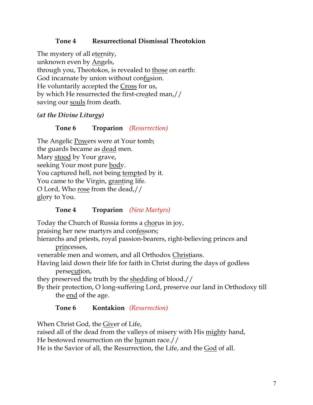# **Tone 4 Resurrectional Dismissal Theotokion**

The mystery of all eternity, unknown even by Angels, through you, Theotokos, is revealed to those on earth: God incarnate by union without confusion. He voluntarily accepted the Cross for us, by which He resurrected the first-created man,// saving our souls from death.

### *(at the Divine Liturgy)*

### **Tone 6 Troparion** *(Resurrection)*

The Angelic Powers were at Your tomb; the guards became as dead men. Mary stood by Your grave, seeking Your most pure body. You captured hell, not being tempted by it. You came to the Virgin, granting life. O Lord, Who rose from the dead,// glory to You.

### **Tone 4 Troparion** *(New Martyrs)*

Today the Church of Russia forms a chorus in joy,

praising her new martyrs and confessors;

hierarchs and priests, royal passion-bearers, right-believing princes and princesses,

venerable men and women, and all Orthodox Christians.

Having laid down their life for faith in Christ during the days of godless persecution,

they preserved the truth by the shedding of blood.//

By their protection, O long-suffering Lord, preserve our land in Orthodoxy till the end of the age.

### **Tone 6 Kontakion** *(Resurrection)*

When Christ God, the Giver of Life,

raised all of the dead from the valleys of misery with His mighty hand,

He bestowed resurrection on the human race.//

He is the Savior of all, the Resurrection, the Life, and the God of all.